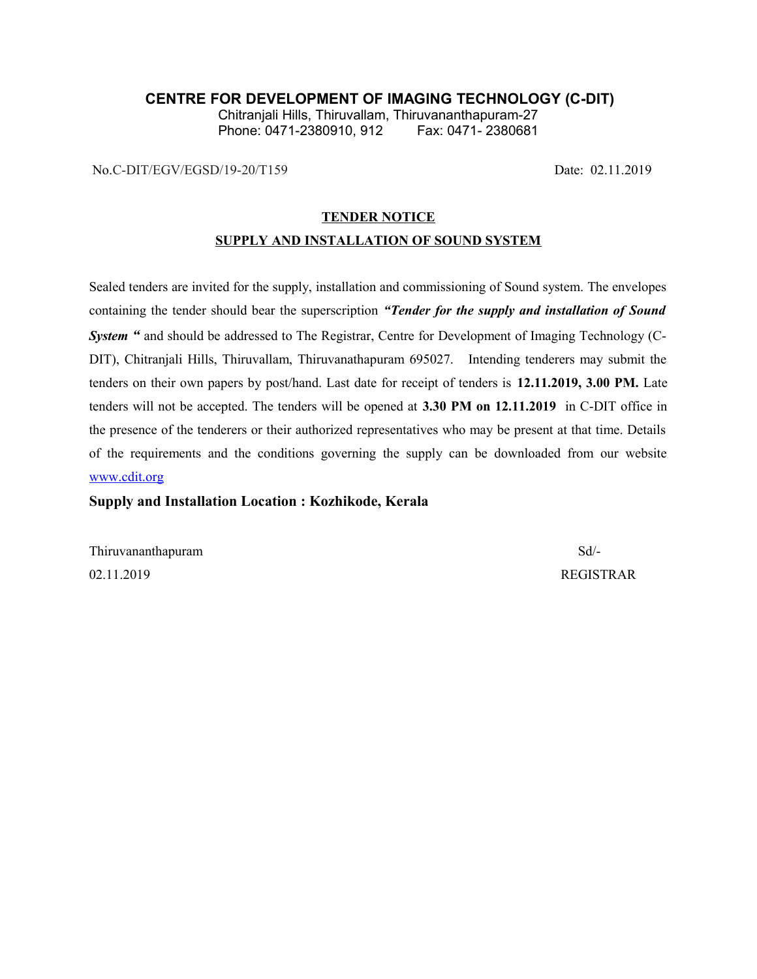### **CENTRE FOR DEVELOPMENT OF IMAGING TECHNOLOGY (C-DIT)**

Chitranjali Hills, Thiruvallam, Thiruvananthapuram-27 Phone: 0471-2380910, 912

No.C-DIT/EGV/EGSD/19-20/T159 Date: 02.11.2019

#### **TENDER NOTICE**

#### **SUPPLY AND INSTALLATION OF SOUND SYSTEM**

Sealed tenders are invited for the supply, installation and commissioning of Sound system. The envelopes containing the tender should bear the superscription *"Tender for the supply and installation of Sound System "* and should be addressed to The Registrar, Centre for Development of Imaging Technology (C-DIT), Chitranjali Hills, Thiruvallam, Thiruvanathapuram 695027. Intending tenderers may submit the tenders on their own papers by post/hand. Last date for receipt of tenders is **12.11.2019, 3.00 PM.** Late tenders will not be accepted. The tenders will be opened at **3.30 PM on 12.11.2019** in C-DIT office in the presence of the tenderers or their authorized representatives who may be present at that time. Details of the requirements and the conditions governing the supply can be downloaded from our website [www.cdit.org](http://www.cdit.org/)

#### **Supply and Installation Location : Kozhikode, Kerala**

Thiruvananthapuram Sd<sup>-</sup> 02.11.2019 REGISTRAR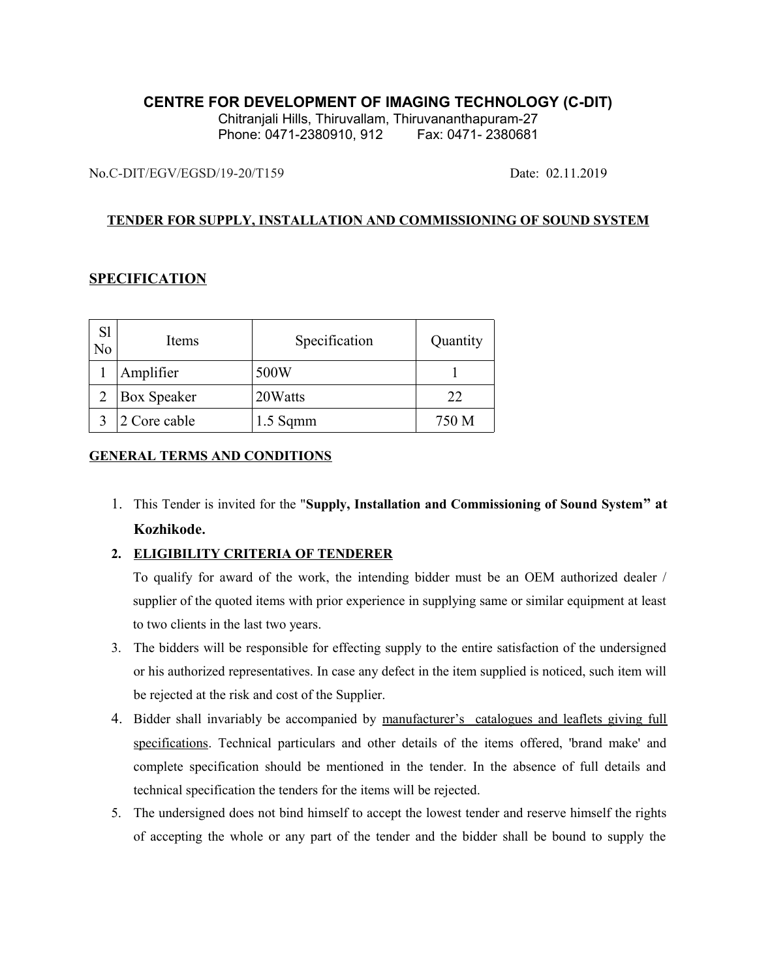## **CENTRE FOR DEVELOPMENT OF IMAGING TECHNOLOGY (C-DIT)**

Chitranjali Hills, Thiruvallam, Thiruvananthapuram-27 Phone: 0471-2380910, 912 Fax: 0471- 2380681

No.C-DIT/EGV/EGSD/19-20/T159 Date: 02.11.2019

## **TENDER FOR SUPPLY, INSTALLATION AND COMMISSIONING OF SOUND SYSTEM**

## **SPECIFICATION**

| S1<br>No | <b>Items</b>       | Specification | Quantity |
|----------|--------------------|---------------|----------|
|          | Amplifier          | 500W          |          |
|          | <b>Box Speaker</b> | 20 Watts      | 22       |
|          | 2 Core cable       | $1.5$ Sqmm    | 750 M    |

### **GENERAL TERMS AND CONDITIONS**

1. This Tender is invited for the "**Supply, Installation and Commissioning of Sound System" at Kozhikode.**

## **2. ELIGIBILITY CRITERIA OF TENDERER**

To qualify for award of the work, the intending bidder must be an OEM authorized dealer / supplier of the quoted items with prior experience in supplying same or similar equipment at least to two clients in the last two years.

- 3. The bidders will be responsible for effecting supply to the entire satisfaction of the undersigned or his authorized representatives. In case any defect in the item supplied is noticed, such item will be rejected at the risk and cost of the Supplier.
- 4. Bidder shall invariably be accompanied by manufacturer's catalogues and leaflets giving full specifications. Technical particulars and other details of the items offered, 'brand make' and complete specification should be mentioned in the tender. In the absence of full details and technical specification the tenders for the items will be rejected.
- 5. The undersigned does not bind himself to accept the lowest tender and reserve himself the rights of accepting the whole or any part of the tender and the bidder shall be bound to supply the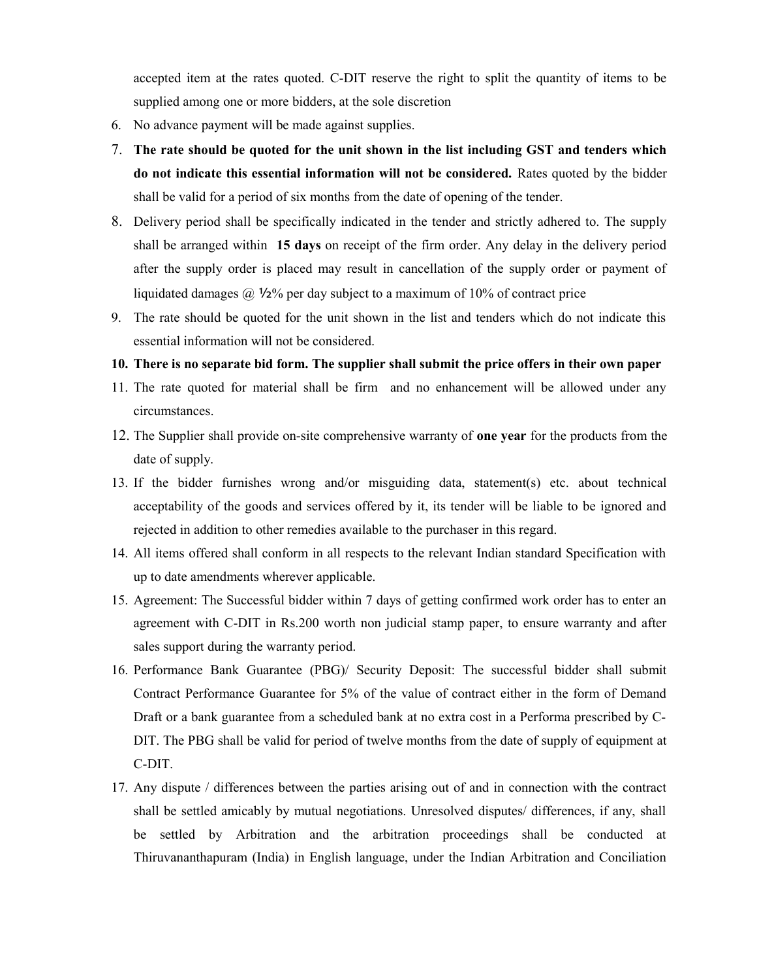accepted item at the rates quoted. C-DIT reserve the right to split the quantity of items to be supplied among one or more bidders, at the sole discretion

- 6. No advance payment will be made against supplies.
- 7. **The rate should be quoted for the unit shown in the list including GST and tenders which do not indicate this essential information will not be considered.** Rates quoted by the bidder shall be valid for a period of six months from the date of opening of the tender.
- 8. Delivery period shall be specifically indicated in the tender and strictly adhered to. The supply shall be arranged within **15 days** on receipt of the firm order. Any delay in the delivery period after the supply order is placed may result in cancellation of the supply order or payment of liquidated damages  $\omega$  1/2% per day subject to a maximum of 10% of contract price
- 9. The rate should be quoted for the unit shown in the list and tenders which do not indicate this essential information will not be considered.

#### **10. There is no separate bid form. The supplier shall submit the price offers in their own paper**

- 11. The rate quoted for material shall be firm and no enhancement will be allowed under any circumstances.
- 12. The Supplier shall provide on-site comprehensive warranty of **one year** for the products from the date of supply.
- 13. If the bidder furnishes wrong and/or misguiding data, statement(s) etc. about technical acceptability of the goods and services offered by it, its tender will be liable to be ignored and rejected in addition to other remedies available to the purchaser in this regard.
- 14. All items offered shall conform in all respects to the relevant Indian standard Specification with up to date amendments wherever applicable.
- 15. Agreement: The Successful bidder within 7 days of getting confirmed work order has to enter an agreement with C-DIT in Rs.200 worth non judicial stamp paper, to ensure warranty and after sales support during the warranty period.
- 16. Performance Bank Guarantee (PBG)/ Security Deposit: The successful bidder shall submit Contract Performance Guarantee for 5% of the value of contract either in the form of Demand Draft or a bank guarantee from a scheduled bank at no extra cost in a Performa prescribed by C-DIT. The PBG shall be valid for period of twelve months from the date of supply of equipment at C-DIT.
- 17. Any dispute / differences between the parties arising out of and in connection with the contract shall be settled amicably by mutual negotiations. Unresolved disputes/ differences, if any, shall be settled by Arbitration and the arbitration proceedings shall be conducted at Thiruvananthapuram (India) in English language, under the Indian Arbitration and Conciliation